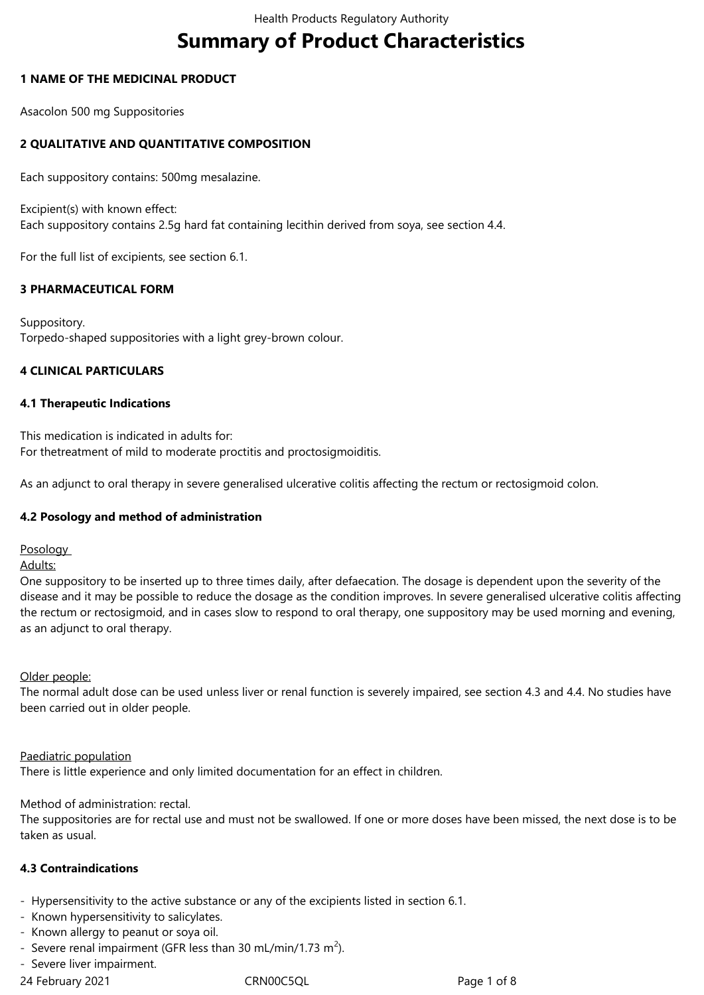# **Summary of Product Characteristics**

### **1 NAME OF THE MEDICINAL PRODUCT**

Asacolon 500 mg Suppositories

### **2 QUALITATIVE AND QUANTITATIVE COMPOSITION**

Each suppository contains: 500mg mesalazine.

Excipient(s) with known effect: Each suppository contains 2.5g hard fat containing lecithin derived from soya, see section 4.4.

For the full list of excipients, see section 6.1.

### **3 PHARMACEUTICAL FORM**

Suppository. Torpedo-shaped suppositories with a light grey-brown colour.

### **4 CLINICAL PARTICULARS**

### **4.1 Therapeutic Indications**

This medication is indicated in adults for: For thetreatment of mild to moderate proctitis and proctosigmoiditis.

As an adjunct to oral therapy in severe generalised ulcerative colitis affecting the rectum or rectosigmoid colon.

### **4.2 Posology and method of administration**

**Posology** 

Adults:

One suppository to be inserted up to three times daily, after defaecation. The dosage is dependent upon the severity of the disease and it may be possible to reduce the dosage as the condition improves. In severe generalised ulcerative colitis affecting the rectum or rectosigmoid, and in cases slow to respond to oral therapy, one suppository may be used morning and evening, as an adjunct to oral therapy.

### Older people:

The normal adult dose can be used unless liver or renal function is severely impaired, see section 4.3 and 4.4. No studies have been carried out in older people.

### Paediatric population

There is little experience and only limited documentation for an effect in children.

### Method of administration: rectal.

The suppositories are for rectal use and must not be swallowed. If one or more doses have been missed, the next dose is to be taken as usual.

### **4.3 Contraindications**

- Hypersensitivity to the active substance or any of the excipients listed in section 6.1.
- Known hypersensitivity to salicylates.
- Known allergy to peanut or soya oil.
- Severe renal impairment (GFR less than 30 mL/min/1.73 m<sup>2</sup>).
- Severe liver impairment.

24 February 2021 **CRN00C5QL** CRNOOC5QL Page 1 of 8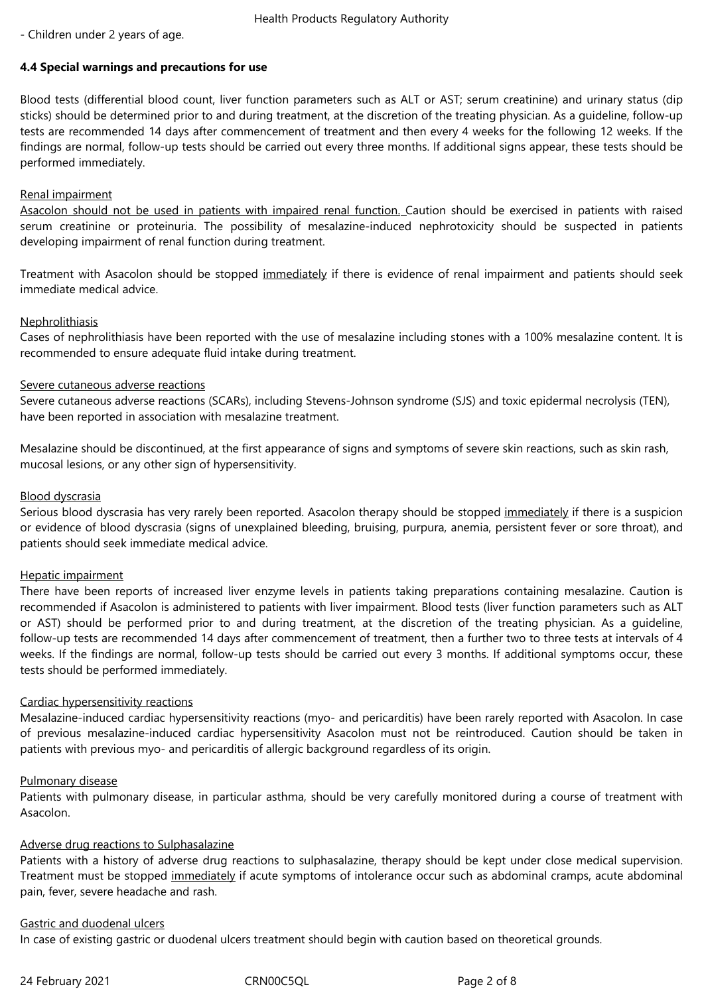- Children under 2 years of age.

### **4.4 Special warnings and precautions for use**

Blood tests (differential blood count, liver function parameters such as ALT or AST; serum creatinine) and urinary status (dip sticks) should be determined prior to and during treatment, at the discretion of the treating physician. As a guideline, follow-up tests are recommended 14 days after commencement of treatment and then every 4 weeks for the following 12 weeks. If the findings are normal, follow-up tests should be carried out every three months. If additional signs appear, these tests should be performed immediately.

### Renal impairment

Asacolon should not be used in patients with impaired renal function. Caution should be exercised in patients with raised serum creatinine or proteinuria. The possibility of mesalazine-induced nephrotoxicity should be suspected in patients developing impairment of renal function during treatment.

Treatment with Asacolon should be stopped immediately if there is evidence of renal impairment and patients should seek immediate medical advice.

### **Nephrolithiasis**

Cases of nephrolithiasis have been reported with the use of mesalazine including stones with a 100% mesalazine content. It is recommended to ensure adequate fluid intake during treatment.

### Severe cutaneous adverse reactions

Severe cutaneous adverse reactions (SCARs), including Stevens-Johnson syndrome (SJS) and toxic epidermal necrolysis (TEN), have been reported in association with mesalazine treatment.

Mesalazine should be discontinued, at the first appearance of signs and symptoms of severe skin reactions, such as skin rash, mucosal lesions, or any other sign of hypersensitivity.

### Blood dyscrasia

Serious blood dyscrasia has very rarely been reported. Asacolon therapy should be stopped immediately if there is a suspicion or evidence of blood dyscrasia (signs of unexplained bleeding, bruising, purpura, anemia, persistent fever or sore throat), and patients should seek immediate medical advice.

### Hepatic impairment

There have been reports of increased liver enzyme levels in patients taking preparations containing mesalazine. Caution is recommended if Asacolon is administered to patients with liver impairment. Blood tests (liver function parameters such as ALT or AST) should be performed prior to and during treatment, at the discretion of the treating physician. As a guideline, follow-up tests are recommended 14 days after commencement of treatment, then a further two to three tests at intervals of 4 weeks. If the findings are normal, follow-up tests should be carried out every 3 months. If additional symptoms occur, these tests should be performed immediately.

### Cardiac hypersensitivity reactions

Mesalazine-induced cardiac hypersensitivity reactions (myo- and pericarditis) have been rarely reported with Asacolon. In case of previous mesalazine-induced cardiac hypersensitivity Asacolon must not be reintroduced. Caution should be taken in patients with previous myo- and pericarditis of allergic background regardless of its origin.

### Pulmonary disease

Patients with pulmonary disease, in particular asthma, should be very carefully monitored during a course of treatment with Asacolon.

### Adverse drug reactions to Sulphasalazine

Patients with a history of adverse drug reactions to sulphasalazine, therapy should be kept under close medical supervision. Treatment must be stopped immediately if acute symptoms of intolerance occur such as abdominal cramps, acute abdominal pain, fever, severe headache and rash.

### Gastric and duodenal ulcers

In case of existing gastric or duodenal ulcers treatment should begin with caution based on theoretical grounds.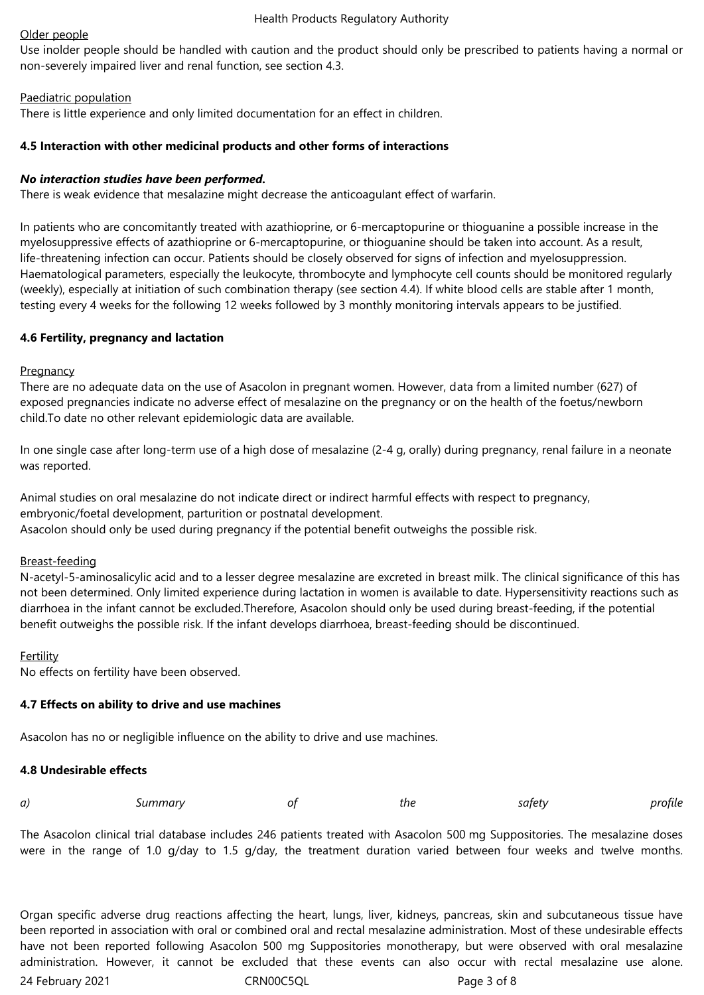#### Health Products Regulatory Authority

#### Older people

Use inolder people should be handled with caution and the product should only be prescribed to patients having a normal or non-severely impaired liver and renal function, see section 4.3.

### Paediatric population

There is little experience and only limited documentation for an effect in children.

### **4.5 Interaction with other medicinal products and other forms of interactions**

### *No interaction studies have been performed.*

There is weak evidence that mesalazine might decrease the anticoagulant effect of warfarin.

In patients who are concomitantly treated with azathioprine, or 6-mercaptopurine or thioguanine a possible increase in the myelosuppressive effects of azathioprine or 6-mercaptopurine, or thioguanine should be taken into account. As a result, life-threatening infection can occur. Patients should be closely observed for signs of infection and myelosuppression. Haematological parameters, especially the leukocyte, thrombocyte and lymphocyte cell counts should be monitored regularly (weekly), especially at initiation of such combination therapy (see section 4.4). If white blood cells are stable after 1 month, testing every 4 weeks for the following 12 weeks followed by 3 monthly monitoring intervals appears to be justified.

### **4.6 Fertility, pregnancy and lactation**

### **Pregnancy**

There are no adequate data on the use of Asacolon in pregnant women. However, data from a limited number (627) of exposed pregnancies indicate no adverse effect of mesalazine on the pregnancy or on the health of the foetus/newborn child.To date no other relevant epidemiologic data are available.

In one single case after long-term use of a high dose of mesalazine (2-4 g, orally) during pregnancy, renal failure in a neonate was reported.

Animal studies on oral mesalazine do not indicate direct or indirect harmful effects with respect to pregnancy, embryonic/foetal development, parturition or postnatal development. Asacolon should only be used during pregnancy if the potential benefit outweighs the possible risk.

### Breast-feeding

N-acetyl-5-aminosalicylic acid and to a lesser degree mesalazine are excreted in breast milk. The clinical significance of this has not been determined. Only limited experience during lactation in women is available to date. Hypersensitivity reactions such as diarrhoea in the infant cannot be excluded.Therefore, Asacolon should only be used during breast-feeding, if the potential benefit outweighs the possible risk. If the infant develops diarrhoea, breast-feeding should be discontinued.

### Fertility

No effects on fertility have been observed.

### **4.7 Effects on ability to drive and use machines**

Asacolon has no or negligible influence on the ability to drive and use machines.

### **4.8 Undesirable effects**

|  | a) | ummarvد | n1 | the | `atot<br>$\cdots$ | วfile |
|--|----|---------|----|-----|-------------------|-------|
|--|----|---------|----|-----|-------------------|-------|

The Asacolon clinical trial database includes 246 patients treated with Asacolon 500 mg Suppositories. The mesalazine doses were in the range of 1.0 g/day to 1.5 g/day, the treatment duration varied between four weeks and twelve months.

24 February 2021 CRN00C5QL Page 3 of 8 Organ specific adverse drug reactions affecting the heart, lungs, liver, kidneys, pancreas, skin and subcutaneous tissue have been reported in association with oral or combined oral and rectal mesalazine administration. Most of these undesirable effects have not been reported following Asacolon 500 mg Suppositories monotherapy, but were observed with oral mesalazine administration. However, it cannot be excluded that these events can also occur with rectal mesalazine use alone.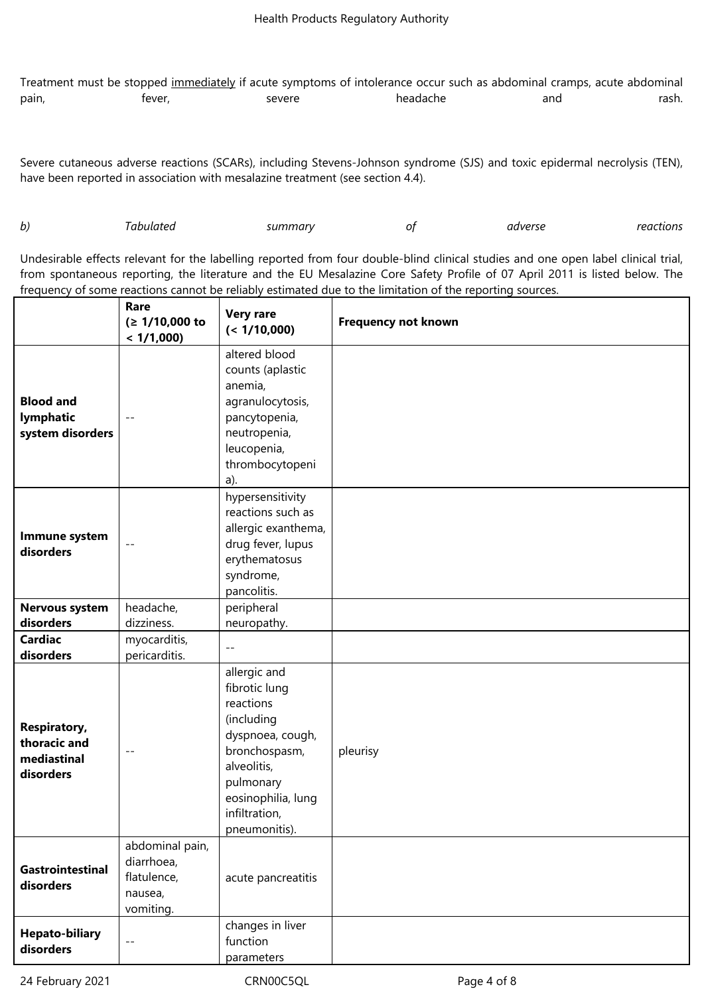Treatment must be stopped immediately if acute symptoms of intolerance occur such as abdominal cramps, acute abdominal pain, fever, severe headache and rash.

Severe cutaneous adverse reactions (SCARs), including Stevens-Johnson syndrome (SJS) and toxic epidermal necrolysis (TEN), have been reported in association with mesalazine treatment (see section 4.4).

| b) | ahulatea<br>. | summarv | ΟŤ | adverse<br>. | reactions |
|----|---------------|---------|----|--------------|-----------|
|----|---------------|---------|----|--------------|-----------|

Undesirable effects relevant for the labelling reported from four double-blind clinical studies and one open label clinical trial, from spontaneous reporting, the literature and the EU Mesalazine Core Safety Profile of 07 April 2011 is listed below. The frequency of some reactions cannot be reliably estimated due to the limitation of the reporting sources.

|                                                                 | Rare<br>(≥ 1/10,000 to<br>< 1/1,000                                  | <b>Very rare</b><br>(< 1/10,000)                                                                                                                                                  | <b>Frequency not known</b> |
|-----------------------------------------------------------------|----------------------------------------------------------------------|-----------------------------------------------------------------------------------------------------------------------------------------------------------------------------------|----------------------------|
| <b>Blood and</b><br>lymphatic<br>system disorders               |                                                                      | altered blood<br>counts (aplastic<br>anemia,<br>agranulocytosis,<br>pancytopenia,<br>neutropenia,<br>leucopenia,<br>thrombocytopeni<br>a).                                        |                            |
| Immune system<br>disorders                                      | $- -$                                                                | hypersensitivity<br>reactions such as<br>allergic exanthema,<br>drug fever, lupus<br>erythematosus<br>syndrome,<br>pancolitis.                                                    |                            |
| <b>Nervous system</b>                                           | headache,                                                            | peripheral                                                                                                                                                                        |                            |
| disorders                                                       | dizziness.                                                           | neuropathy.                                                                                                                                                                       |                            |
| <b>Cardiac</b><br>disorders                                     | myocarditis,<br>pericarditis.                                        | $- -$                                                                                                                                                                             |                            |
| <b>Respiratory,</b><br>thoracic and<br>mediastinal<br>disorders | $- -$                                                                | allergic and<br>fibrotic lung<br>reactions<br>(including<br>dyspnoea, cough,<br>bronchospasm,<br>alveolitis,<br>pulmonary<br>eosinophilia, lung<br>infiltration,<br>pneumonitis). | pleurisy                   |
| Gastrointestinal<br>disorders                                   | abdominal pain,<br>diarrhoea,<br>flatulence,<br>nausea,<br>vomiting. | acute pancreatitis                                                                                                                                                                |                            |
| <b>Hepato-biliary</b><br>disorders                              | $ -$                                                                 | changes in liver<br>function<br>parameters                                                                                                                                        |                            |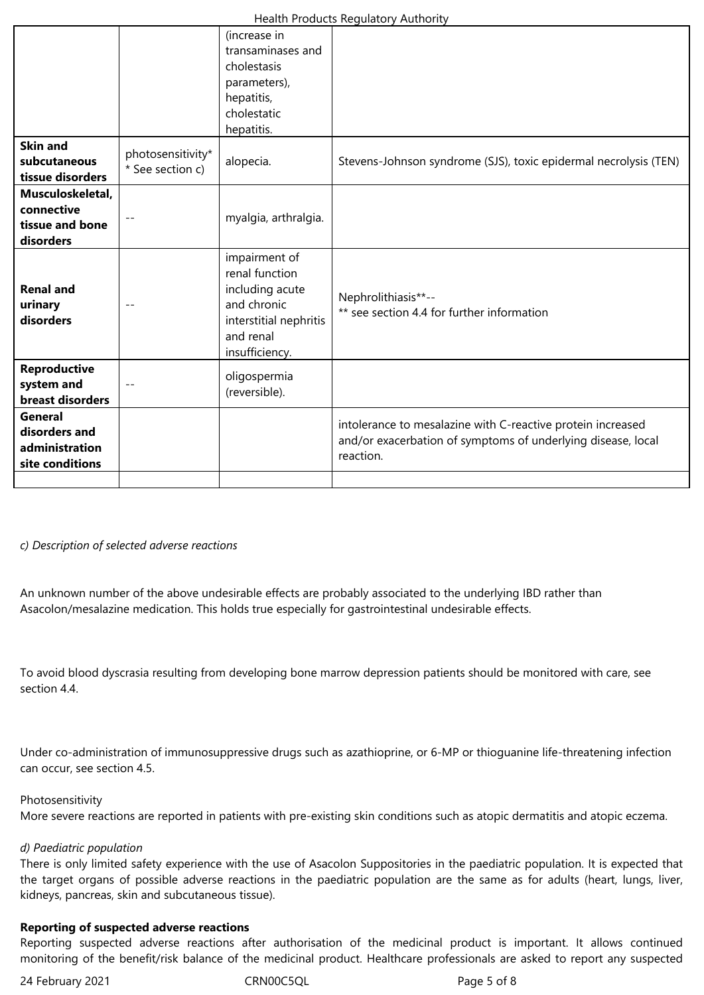|                                                                |                                       | (increase in<br>transaminases and<br>cholestasis<br>parameters),<br>hepatitis,<br>cholestatic<br>hepatitis.                |                                                                                                                                          |
|----------------------------------------------------------------|---------------------------------------|----------------------------------------------------------------------------------------------------------------------------|------------------------------------------------------------------------------------------------------------------------------------------|
| <b>Skin and</b><br>subcutaneous<br>tissue disorders            | photosensitivity*<br>* See section c) | alopecia.                                                                                                                  | Stevens-Johnson syndrome (SJS), toxic epidermal necrolysis (TEN)                                                                         |
| Musculoskeletal,<br>connective<br>tissue and bone<br>disorders |                                       | myalgia, arthralgia.                                                                                                       |                                                                                                                                          |
| <b>Renal and</b><br>urinary<br>disorders                       |                                       | impairment of<br>renal function<br>including acute<br>and chronic<br>interstitial nephritis<br>and renal<br>insufficiency. | Nephrolithiasis**--<br>** see section 4.4 for further information                                                                        |
| Reproductive<br>system and<br>breast disorders                 |                                       | oligospermia<br>(reversible).                                                                                              |                                                                                                                                          |
| General<br>disorders and<br>administration<br>site conditions  |                                       |                                                                                                                            | intolerance to mesalazine with C-reactive protein increased<br>and/or exacerbation of symptoms of underlying disease, local<br>reaction. |
|                                                                |                                       |                                                                                                                            |                                                                                                                                          |

#### *c) Description of selected adverse reactions*

An unknown number of the above undesirable effects are probably associated to the underlying IBD rather than Asacolon/mesalazine medication. This holds true especially for gastrointestinal undesirable effects.

To avoid blood dyscrasia resulting from developing bone marrow depression patients should be monitored with care, see section 4.4.

Under co-administration of immunosuppressive drugs such as azathioprine, or 6-MP or thioguanine life-threatening infection can occur, see section 4.5.

#### Photosensitivity

More severe reactions are reported in patients with pre-existing skin conditions such as atopic dermatitis and atopic eczema.

#### *d) Paediatric population*

There is only limited safety experience with the use of Asacolon Suppositories in the paediatric population. It is expected that the target organs of possible adverse reactions in the paediatric population are the same as for adults (heart, lungs, liver, kidneys, pancreas, skin and subcutaneous tissue).

#### **Reporting of suspected adverse reactions**

Reporting suspected adverse reactions after authorisation of the medicinal product is important. It allows continued monitoring of the benefit/risk balance of the medicinal product. Healthcare professionals are asked to report any suspected

24 February 2021 **CRN00C5QL CRNOOC5QL** Page 5 of 8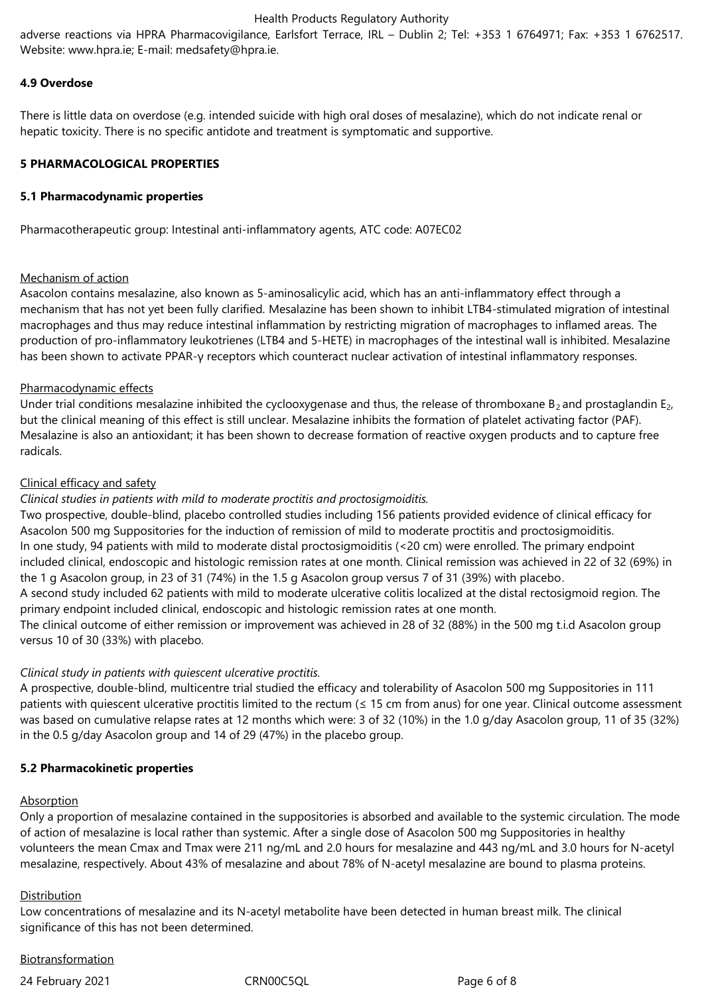#### Health Products Regulatory Authority

adverse reactions via HPRA Pharmacovigilance, Earlsfort Terrace, IRL – Dublin 2; Tel: +353 1 6764971; Fax: +353 1 6762517. Website: www.hpra.ie; E-mail: medsafety@hpra.ie.

### **4.9 Overdose**

There is little data on overdose (e.g. intended suicide with high oral doses of mesalazine), which do not indicate renal or hepatic toxicity. There is no specific antidote and treatment is symptomatic and supportive.

### **5 PHARMACOLOGICAL PROPERTIES**

### **5.1 Pharmacodynamic properties**

Pharmacotherapeutic group: Intestinal anti-inflammatory agents, ATC code: A07EC02

### Mechanism of action

Asacolon contains mesalazine, also known as 5-aminosalicylic acid, which has an anti-inflammatory effect through a mechanism that has not yet been fully clarified. Mesalazine has been shown to inhibit LTB4-stimulated migration of intestinal macrophages and thus may reduce intestinal inflammation by restricting migration of macrophages to inflamed areas. The production of pro-inflammatory leukotrienes (LTB4 and 5-HETE) in macrophages of the intestinal wall is inhibited. Mesalazine has been shown to activate PPAR-γ receptors which counteract nuclear activation of intestinal inflammatory responses.

### Pharmacodynamic effects

Under trial conditions mesalazine inhibited the cyclooxygenase and thus, the release of thromboxane  $B_2$  and prostaglandin E<sub>2</sub>, but the clinical meaning of this effect is still unclear. Mesalazine inhibits the formation of platelet activating factor (PAF). Mesalazine is also an antioxidant; it has been shown to decrease formation of reactive oxygen products and to capture free radicals.

### Clinical efficacy and safety

### *Clinical studies in patients with mild to moderate proctitis and proctosigmoiditis.*

Two prospective, double-blind, placebo controlled studies including 156 patients provided evidence of clinical efficacy for Asacolon 500 mg Suppositories for the induction of remission of mild to moderate proctitis and proctosigmoiditis. In one study, 94 patients with mild to moderate distal proctosigmoiditis (<20 cm) were enrolled. The primary endpoint included clinical, endoscopic and histologic remission rates at one month. Clinical remission was achieved in 22 of 32 (69%) in the 1 g Asacolon group, in 23 of 31 (74%) in the 1.5 g Asacolon group versus 7 of 31 (39%) with placebo.

A second study included 62 patients with mild to moderate ulcerative colitis localized at the distal rectosigmoid region. The primary endpoint included clinical, endoscopic and histologic remission rates at one month.

The clinical outcome of either remission or improvement was achieved in 28 of 32 (88%) in the 500 mg t.i.d Asacolon group versus 10 of 30 (33%) with placebo.

### *Clinical study in patients with quiescent ulcerative proctitis.*

A prospective, double-blind, multicentre trial studied the efficacy and tolerability of Asacolon 500 mg Suppositories in 111 patients with quiescent ulcerative proctitis limited to the rectum (≤ 15 cm from anus) for one year. Clinical outcome assessment was based on cumulative relapse rates at 12 months which were: 3 of 32 (10%) in the 1.0 g/day Asacolon group, 11 of 35 (32%) in the 0.5 g/day Asacolon group and 14 of 29 (47%) in the placebo group.

### **5.2 Pharmacokinetic properties**

### Absorption

Only a proportion of mesalazine contained in the suppositories is absorbed and available to the systemic circulation. The mode of action of mesalazine is local rather than systemic. After a single dose of Asacolon 500 mg Suppositories in healthy volunteers the mean Cmax and Tmax were 211 ng/mL and 2.0 hours for mesalazine and 443 ng/mL and 3.0 hours for N-acetyl mesalazine, respectively. About 43% of mesalazine and about 78% of N-acetyl mesalazine are bound to plasma proteins.

### Distribution

Low concentrations of mesalazine and its N-acetyl metabolite have been detected in human breast milk. The clinical significance of this has not been determined.

## **Biotransformation**

24 February 2021 CRN00C5QL Page 6 of 8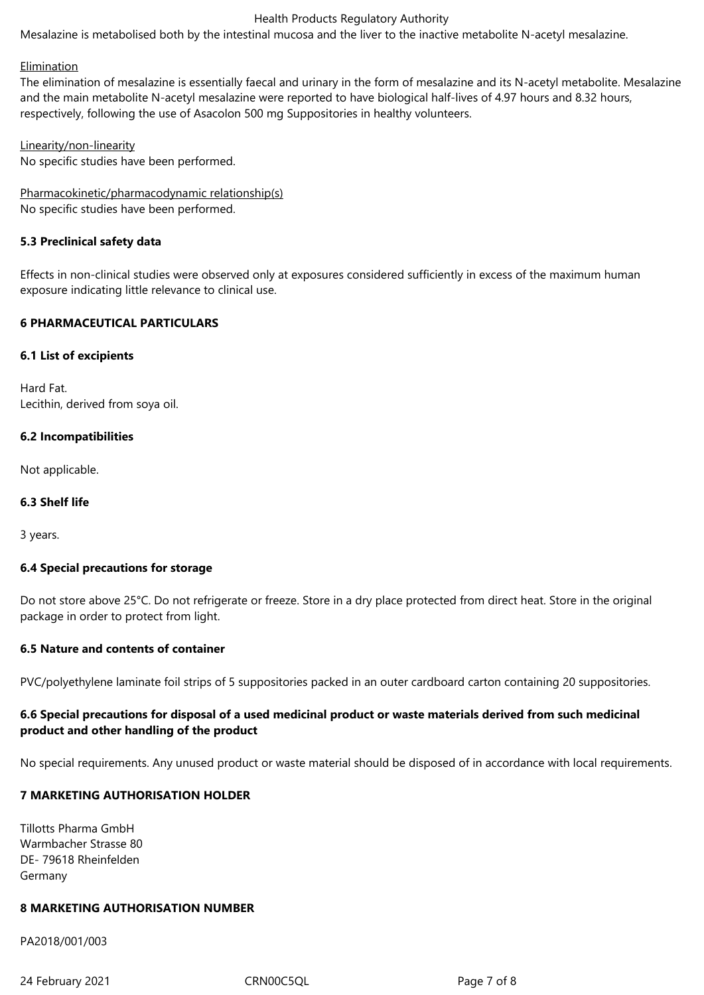#### Health Products Regulatory Authority

Mesalazine is metabolised both by the intestinal mucosa and the liver to the inactive metabolite N-acetyl mesalazine.

#### Elimination

The elimination of mesalazine is essentially faecal and urinary in the form of mesalazine and its N-acetyl metabolite. Mesalazine and the main metabolite N-acetyl mesalazine were reported to have biological half-lives of 4.97 hours and 8.32 hours, respectively, following the use of Asacolon 500 mg Suppositories in healthy volunteers.

Linearity/non-linearity No specific studies have been performed.

Pharmacokinetic/pharmacodynamic relationship(s) No specific studies have been performed.

#### **5.3 Preclinical safety data**

Effects in non-clinical studies were observed only at exposures considered sufficiently in excess of the maximum human exposure indicating little relevance to clinical use.

#### **6 PHARMACEUTICAL PARTICULARS**

#### **6.1 List of excipients**

Hard Fat. Lecithin, derived from soya oil.

#### **6.2 Incompatibilities**

Not applicable.

#### **6.3 Shelf life**

3 years.

### **6.4 Special precautions for storage**

Do not store above 25°C. Do not refrigerate or freeze. Store in a dry place protected from direct heat. Store in the original package in order to protect from light.

#### **6.5 Nature and contents of container**

PVC/polyethylene laminate foil strips of 5 suppositories packed in an outer cardboard carton containing 20 suppositories.

### **6.6 Special precautions for disposal of a used medicinal product or waste materials derived from such medicinal product and other handling of the product**

No special requirements. Any unused product or waste material should be disposed of in accordance with local requirements.

### **7 MARKETING AUTHORISATION HOLDER**

Tillotts Pharma GmbH Warmbacher Strasse 80 DE- 79618 Rheinfelden Germany

### **8 MARKETING AUTHORISATION NUMBER**

PA2018/001/003

24 February 2021 CRN00C5QL Page 7 of 8